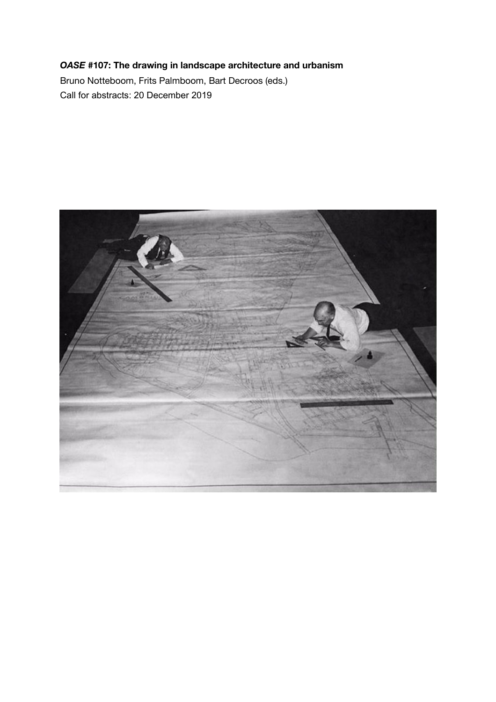# *OASE* **#107: The drawing in landscape architecture and urbanism**

Bruno Notteboom, Frits Palmboom, Bart Decroos (eds.) Call for abstracts: 20 December 2019

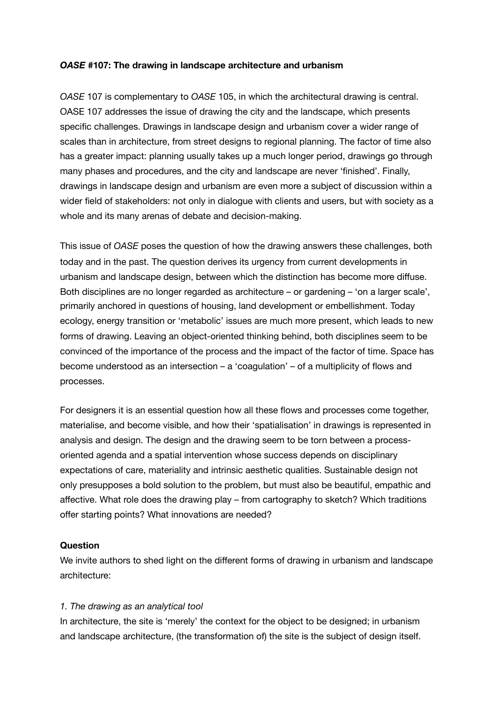### *OASE* **#107: The drawing in landscape architecture and urbanism**

*OASE* 107 is complementary to *OASE* 105, in which the architectural drawing is central. OASE 107 addresses the issue of drawing the city and the landscape, which presents specific challenges. Drawings in landscape design and urbanism cover a wider range of scales than in architecture, from street designs to regional planning. The factor of time also has a greater impact: planning usually takes up a much longer period, drawings go through many phases and procedures, and the city and landscape are never 'finished'. Finally, drawings in landscape design and urbanism are even more a subject of discussion within a wider field of stakeholders: not only in dialogue with clients and users, but with society as a whole and its many arenas of debate and decision-making.

This issue of *OASE* poses the question of how the drawing answers these challenges, both today and in the past. The question derives its urgency from current developments in urbanism and landscape design, between which the distinction has become more diffuse. Both disciplines are no longer regarded as architecture – or gardening – 'on a larger scale', primarily anchored in questions of housing, land development or embellishment. Today ecology, energy transition or 'metabolic' issues are much more present, which leads to new forms of drawing. Leaving an object-oriented thinking behind, both disciplines seem to be convinced of the importance of the process and the impact of the factor of time. Space has become understood as an intersection – a 'coagulation' – of a multiplicity of flows and processes.

For designers it is an essential question how all these flows and processes come together, materialise, and become visible, and how their 'spatialisation' in drawings is represented in analysis and design. The design and the drawing seem to be torn between a processoriented agenda and a spatial intervention whose success depends on disciplinary expectations of care, materiality and intrinsic aesthetic qualities. Sustainable design not only presupposes a bold solution to the problem, but must also be beautiful, empathic and affective. What role does the drawing play – from cartography to sketch? Which traditions offer starting points? What innovations are needed?

#### **Question**

We invite authors to shed light on the different forms of drawing in urbanism and landscape architecture:

#### *1. The drawing as an analytical tool*

In architecture, the site is 'merely' the context for the object to be designed; in urbanism and landscape architecture, (the transformation of) the site is the subject of design itself.